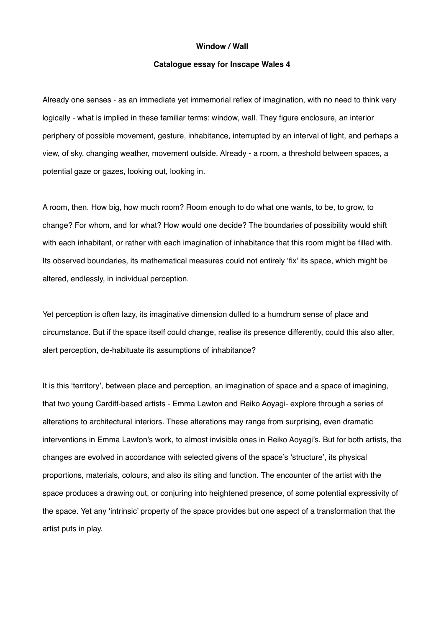## **Window / Wall**

## **Catalogue essay for Inscape Wales 4**

Already one senses - as an immediate yet immemorial reflex of imagination, with no need to think very logically - what is implied in these familiar terms: window, wall. They figure enclosure, an interior periphery of possible movement, gesture, inhabitance, interrupted by an interval of light, and perhaps a view, of sky, changing weather, movement outside. Already - a room, a threshold between spaces, a potential gaze or gazes, looking out, looking in.

A room, then. How big, how much room? Room enough to do what one wants, to be, to grow, to change? For whom, and for what? How would one decide? The boundaries of possibility would shift with each inhabitant, or rather with each imagination of inhabitance that this room might be filled with. Its observed boundaries, its mathematical measures could not entirely 'fix' its space, which might be altered, endlessly, in individual perception.

Yet perception is often lazy, its imaginative dimension dulled to a humdrum sense of place and circumstance. But if the space itself could change, realise its presence differently, could this also alter, alert perception, de-habituate its assumptions of inhabitance?

It is this 'territory', between place and perception, an imagination of space and a space of imagining, that two young Cardiff-based artists - Emma Lawton and Reiko Aoyagi- explore through a series of alterations to architectural interiors. These alterations may range from surprising, even dramatic interventions in Emma Lawton's work, to almost invisible ones in Reiko Aoyagi's. But for both artists, the changes are evolved in accordance with selected givens of the space's 'structure', its physical proportions, materials, colours, and also its siting and function. The encounter of the artist with the space produces a drawing out, or conjuring into heightened presence, of some potential expressivity of the space. Yet any 'intrinsic' property of the space provides but one aspect of a transformation that the artist puts in play.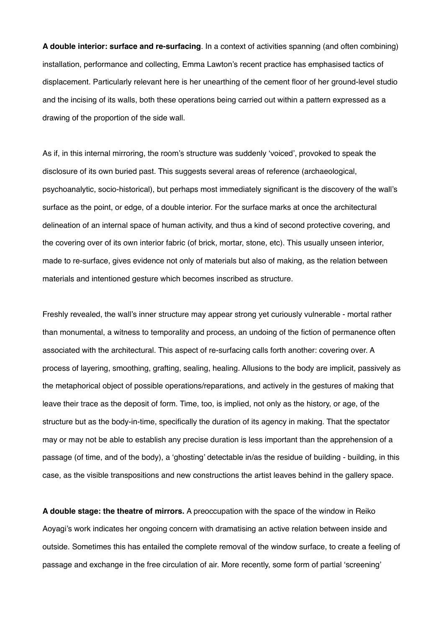**A double interior: surface and re-surfacing**. In a context of activities spanning (and often combining) installation, performance and collecting, Emma Lawton's recent practice has emphasised tactics of displacement. Particularly relevant here is her unearthing of the cement floor of her ground-level studio and the incising of its walls, both these operations being carried out within a pattern expressed as a drawing of the proportion of the side wall.

As if, in this internal mirroring, the room's structure was suddenly 'voiced', provoked to speak the disclosure of its own buried past. This suggests several areas of reference (archaeological, psychoanalytic, socio-historical), but perhaps most immediately significant is the discovery of the wall's surface as the point, or edge, of a double interior. For the surface marks at once the architectural delineation of an internal space of human activity, and thus a kind of second protective covering, and the covering over of its own interior fabric (of brick, mortar, stone, etc). This usually unseen interior, made to re-surface, gives evidence not only of materials but also of making, as the relation between materials and intentioned gesture which becomes inscribed as structure.

Freshly revealed, the wall's inner structure may appear strong yet curiously vulnerable - mortal rather than monumental, a witness to temporality and process, an undoing of the fiction of permanence often associated with the architectural. This aspect of re-surfacing calls forth another: covering over. A process of layering, smoothing, grafting, sealing, healing. Allusions to the body are implicit, passively as the metaphorical object of possible operations/reparations, and actively in the gestures of making that leave their trace as the deposit of form. Time, too, is implied, not only as the history, or age, of the structure but as the body-in-time, specifically the duration of its agency in making. That the spectator may or may not be able to establish any precise duration is less important than the apprehension of a passage (of time, and of the body), a 'ghosting' detectable in/as the residue of building - building, in this case, as the visible transpositions and new constructions the artist leaves behind in the gallery space.

**A double stage: the theatre of mirrors.** A preoccupation with the space of the window in Reiko Aoyagi's work indicates her ongoing concern with dramatising an active relation between inside and outside. Sometimes this has entailed the complete removal of the window surface, to create a feeling of passage and exchange in the free circulation of air. More recently, some form of partial 'screening'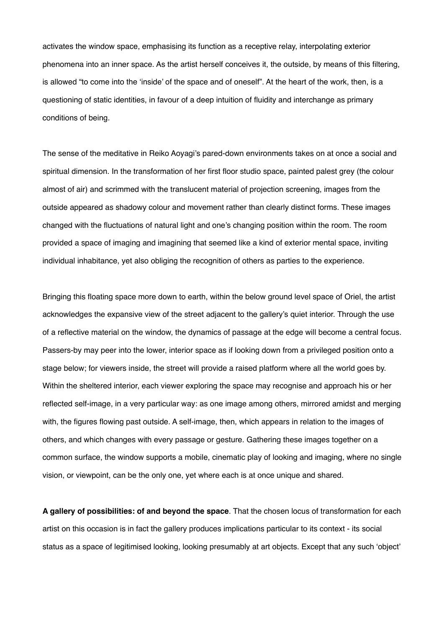activates the window space, emphasising its function as a receptive relay, interpolating exterior phenomena into an inner space. As the artist herself conceives it, the outside, by means of this filtering, is allowed "to come into the 'inside' of the space and of oneself". At the heart of the work, then, is a questioning of static identities, in favour of a deep intuition of fluidity and interchange as primary conditions of being.

The sense of the meditative in Reiko Aoyagi's pared-down environments takes on at once a social and spiritual dimension. In the transformation of her first floor studio space, painted palest grey (the colour almost of air) and scrimmed with the translucent material of projection screening, images from the outside appeared as shadowy colour and movement rather than clearly distinct forms. These images changed with the fluctuations of natural light and one's changing position within the room. The room provided a space of imaging and imagining that seemed like a kind of exterior mental space, inviting individual inhabitance, yet also obliging the recognition of others as parties to the experience.

Bringing this floating space more down to earth, within the below ground level space of Oriel, the artist acknowledges the expansive view of the street adjacent to the gallery's quiet interior. Through the use of a reflective material on the window, the dynamics of passage at the edge will become a central focus. Passers-by may peer into the lower, interior space as if looking down from a privileged position onto a stage below; for viewers inside, the street will provide a raised platform where all the world goes by. Within the sheltered interior, each viewer exploring the space may recognise and approach his or her reflected self-image, in a very particular way: as one image among others, mirrored amidst and merging with, the figures flowing past outside. A self-image, then, which appears in relation to the images of others, and which changes with every passage or gesture. Gathering these images together on a common surface, the window supports a mobile, cinematic play of looking and imaging, where no single vision, or viewpoint, can be the only one, yet where each is at once unique and shared.

**A gallery of possibilities: of and beyond the space**. That the chosen locus of transformation for each artist on this occasion is in fact the gallery produces implications particular to its context - its social status as a space of legitimised looking, looking presumably at art objects. Except that any such 'object'